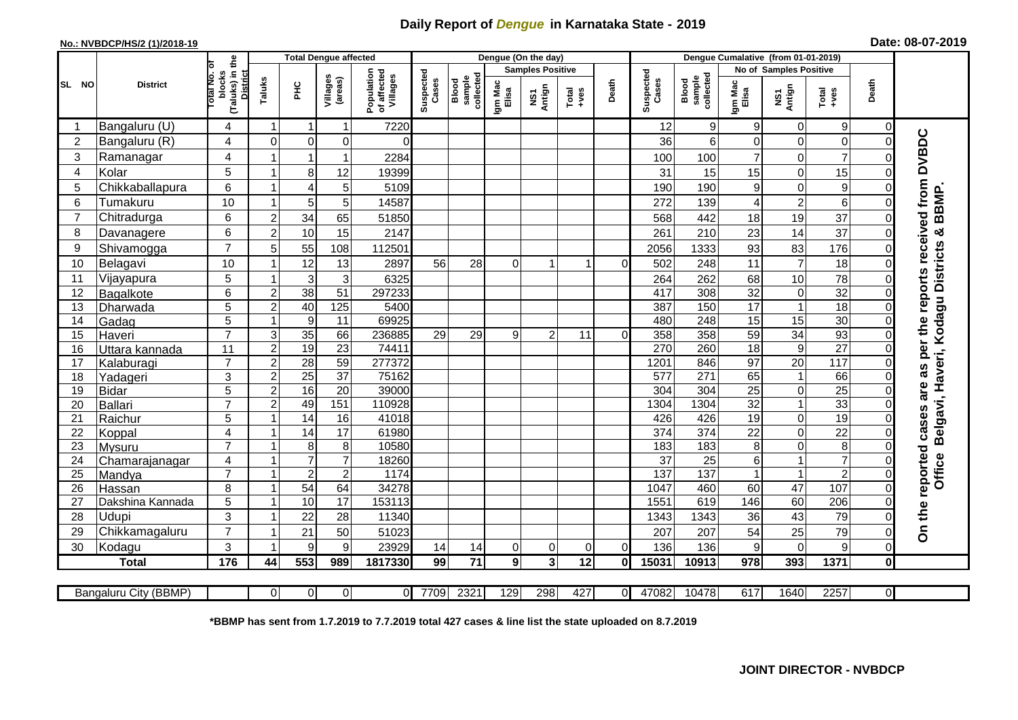## **Daily Report of** *Dengue* **in Karnataka State - 2019**

## **No.: NVBDCP/HS/2 (1)/2018-19 Date: 08-07-2019**

|                 |                       |                                                             |                |                | <b>Total Dengue affected</b> |                                       |                    |                              |                  | Dengue (On the day)     |                  |          |                    |                              |                  |                               |                   |                         |                                        |
|-----------------|-----------------------|-------------------------------------------------------------|----------------|----------------|------------------------------|---------------------------------------|--------------------|------------------------------|------------------|-------------------------|------------------|----------|--------------------|------------------------------|------------------|-------------------------------|-------------------|-------------------------|----------------------------------------|
|                 |                       |                                                             |                |                |                              |                                       |                    |                              |                  | <b>Samples Positive</b> |                  |          |                    |                              |                  | <b>No of Samples Positive</b> |                   |                         |                                        |
| SL NO           | <b>District</b>       | (Taluks) in the<br>otal No. of<br>blocks<br><b>District</b> | Taluks         | 꾿              | Villages<br>(areas)          | Population<br>of affected<br>Villages | Suspected<br>Cases | sample<br>collected<br>Blood | Igm Mac<br>Elisa | NS1<br>Antign           | $Tota$<br>$+ves$ | Death    | Suspected<br>Cases | Blood<br>sample<br>collected | Igm Mac<br>Elisa | NS1<br>Antign                 | $Tota$<br>$+ves$  | Death                   |                                        |
|                 | Bangaluru (U)         | 4                                                           | -1             |                | 1                            | 7220                                  |                    |                              |                  |                         |                  |          | 12                 | $\overline{9}$               | 9                | $\mathbf 0$                   | 9                 | $\Omega$                |                                        |
| $\overline{2}$  | Bangaluru (R)         | 4                                                           | $\Omega$       | $\mathbf 0$    | $\mathbf 0$                  | $\Omega$                              |                    |                              |                  |                         |                  |          | 36                 | $6\phantom{1}$               | $\overline{O}$   | $\mathbf 0$                   | $\mathbf 0$       | $\Omega$                |                                        |
| 3               | Ramanagar             | 4                                                           |                |                | 1                            | 2284                                  |                    |                              |                  |                         |                  |          | 100                | 100                          | $\overline{7}$   | $\mathbf 0$                   | $\overline{7}$    |                         | as per the reports received from DVBDC |
| $\overline{4}$  | Kolar                 | 5                                                           |                | 8              | 12                           | 19399                                 |                    |                              |                  |                         |                  |          | 31                 | 15                           | 15               | $\mathbf 0$                   | 15                | $\Omega$                |                                        |
| 5               | Chikkaballapura       | $6\phantom{1}$                                              |                | 4              | 5                            | 5109                                  |                    |                              |                  |                         |                  |          | 190                | 190                          | $\boldsymbol{9}$ | $\mathbf 0$                   | $\boldsymbol{9}$  | 0                       |                                        |
| $6\phantom{1}6$ | Tumakuru              | 10                                                          |                | 5              | 5                            | 14587                                 |                    |                              |                  |                         |                  |          | 272                | 139                          | 4                | $\overline{c}$                | $\,$ 6 $\,$       | $\Omega$                | BBMP.                                  |
| $\overline{7}$  | Chitradurga           | 6                                                           | $\overline{2}$ | 34             | 65                           | 51850                                 |                    |                              |                  |                         |                  |          | 568                | 442                          | 18               | 19                            | 37                | $\Omega$                |                                        |
| 8               | Davanagere            | 6                                                           | $\overline{2}$ | 10             | 15                           | 2147                                  |                    |                              |                  |                         |                  |          | 261                | 210                          | 23               | 14                            | 37                | $\Omega$                | ಳ                                      |
| 9               | Shivamogga            | $\overline{7}$                                              | 5              | 55             | 108                          | 112501                                |                    |                              |                  |                         |                  |          | 2056               | 1333                         | 93               | 83                            | 176               | $\Omega$                | Belgavi, Haveri, Kodagu Districts      |
| 10              | Belagavi              | 10                                                          |                | 12             | 13                           | 2897                                  | 56                 | 28                           | 0                |                         |                  | 0        | 502                | 248                          | 11               | $\overline{7}$                | 18                | $\Omega$                |                                        |
| 11              | Vijayapura            | 5                                                           |                | 3              | 3                            | 6325                                  |                    |                              |                  |                         |                  |          | 264                | 262                          | 68               | 10                            | 78                | 0                       |                                        |
| 12              | Bagalkote             | 6                                                           | $\overline{2}$ | 38             | 51                           | 297233                                |                    |                              |                  |                         |                  |          | 417                | 308                          | $\overline{32}$  | $\pmb{0}$                     | 32                | $\Omega$                |                                        |
| 13              | Dharwada              | 5                                                           | $\overline{2}$ | 40             | 125                          | 5400                                  |                    |                              |                  |                         |                  |          | 387                | 150                          | 17               | $\overline{1}$                | 18                | $\Omega$                |                                        |
| 14              | Gadag                 | $\overline{5}$                                              |                | 9              | 11                           | 69925                                 |                    |                              |                  |                         |                  |          | 480                | 248                          | 15               | 15                            | 30                | $\Omega$                |                                        |
| 15              | Haveri                | $\overline{7}$                                              | 3              | 35             | 66                           | 236885                                | 29                 | 29                           | 9                | $\overline{2}$          | 11               | $\Omega$ | 358                | 358                          | 59               | $\overline{34}$               | 93                | $\Omega$                |                                        |
| 16              | Uttara kannada        | 11                                                          | $\overline{2}$ | 19             | $\overline{23}$              | 74411                                 |                    |                              |                  |                         |                  |          | 270                | 260                          | $\overline{18}$  | $\overline{9}$                | $\overline{27}$   | 0                       |                                        |
| 17              | Kalaburagi            | $\overline{7}$                                              | $\overline{2}$ | 28             | 59                           | 277372                                |                    |                              |                  |                         |                  |          | 1201               | 846                          | $\overline{97}$  | $\overline{20}$               | 117               | $\Omega$                |                                        |
| 18              | Yadageri              | 3                                                           | $\overline{2}$ | 25             | 37                           | 75162                                 |                    |                              |                  |                         |                  |          | 577                | 271                          | 65               | $\mathbf{1}$                  | 66                | $\Omega$                |                                        |
| 19              | Bidar                 | 5                                                           | $\overline{2}$ | 16             | 20                           | 39000                                 |                    |                              |                  |                         |                  |          | 304                | 304                          | 25               | $\mathbf 0$                   | $\overline{25}$   | 0                       | are                                    |
| 20              | Ballari               | $\overline{7}$                                              | $\overline{2}$ | 49             | 151                          | 110928                                |                    |                              |                  |                         |                  |          | 1304               | 1304                         | $\overline{32}$  | $\mathbf{1}$                  | 33                | $\Omega$                |                                        |
| 21              | Raichur               | 5                                                           |                | 14             | 16                           | 41018                                 |                    |                              |                  |                         |                  |          | 426                | 426                          | $\overline{19}$  | $\mathbf 0$                   | 19                | 0                       |                                        |
| 22              | Koppal                | 4                                                           |                | 14             | 17                           | 61980                                 |                    |                              |                  |                         |                  |          | 374                | 374                          | $\overline{22}$  | $\mathbf 0$                   | $\overline{22}$   | $\Omega$                |                                        |
| 23              | Mysuru                | $\overline{7}$                                              |                | 8              | $\bf 8$                      | 10580                                 |                    |                              |                  |                         |                  |          | 183                | 183                          | 8                | $\overline{0}$                | $\overline{8}$    | $\Omega$                |                                        |
| 24              | Chamarajanagar        | $\overline{4}$                                              |                | $\overline{7}$ | $\overline{7}$               | 18260                                 |                    |                              |                  |                         |                  |          | $\overline{37}$    | 25                           | $6\phantom{.}$   | $\mathbf{1}$                  | $\overline{7}$    | 0                       | <b>Office</b>                          |
| 25              | Mandya                | $\overline{7}$                                              |                | $\overline{2}$ | $\overline{2}$               | 1174                                  |                    |                              |                  |                         |                  |          | 137                | 137                          | $\overline{1}$   | $\overline{1}$                | $\overline{2}$    | $\mathbf 0$             |                                        |
| 26              | Hassan                | 8                                                           |                | 54             | 64                           | 34278<br>153113                       |                    |                              |                  |                         |                  |          | 1047               | 460<br>619                   | 60               | 47                            | 107               | $\mathbf 0$<br>$\Omega$ |                                        |
| 27              | Dakshina Kannada      | 5                                                           |                | 10             | 17                           |                                       |                    |                              |                  |                         |                  |          | 1551               |                              | 146              | 60                            | 206               |                         |                                        |
| 28              | <b>Udupi</b>          | 3<br>$\overline{7}$                                         |                | 22             | 28                           | 11340                                 |                    |                              |                  |                         |                  |          | 1343               | 1343                         | 36               | 43                            | 79                |                         | On the reported cases                  |
| 29              | Chikkamagaluru        | $\mathbf{3}$                                                |                | 21             | 50                           | 51023                                 |                    |                              |                  |                         |                  |          | 207                | 207                          | 54               | 25<br>$\overline{0}$          | 79<br>$\mathsf g$ | 0<br>$\Omega$           |                                        |
| 30              | Kodagu                |                                                             |                | 9              | 9                            | 23929                                 | 14                 | 14                           | 01               | 0<br>3                  | $\Omega$<br>12   | $\Omega$ | 136                | 136                          | 9                |                               |                   |                         |                                        |
|                 | <b>Total</b>          | 176                                                         | 44             | 553            | 989                          | 1817330                               | 99                 | $71$                         | 9 <sub>l</sub>   |                         |                  | 0I       | 15031              | 10913                        | 978              | 393                           | 1371              | $\mathbf{0}$            |                                        |
|                 | Bangaluru City (BBMP) |                                                             | $\overline{0}$ | $\overline{0}$ | $\overline{0}$               | $\overline{0}$                        | 7709               | 2321                         | 129              | 298                     | 427              | $\Omega$ | 47082              | 10478                        | 617              | 1640                          | 2257              | $\overline{0}$          |                                        |

**\*BBMP has sent from 1.7.2019 to 7.7.2019 total 427 cases & line list the state uploaded on 8.7.2019**